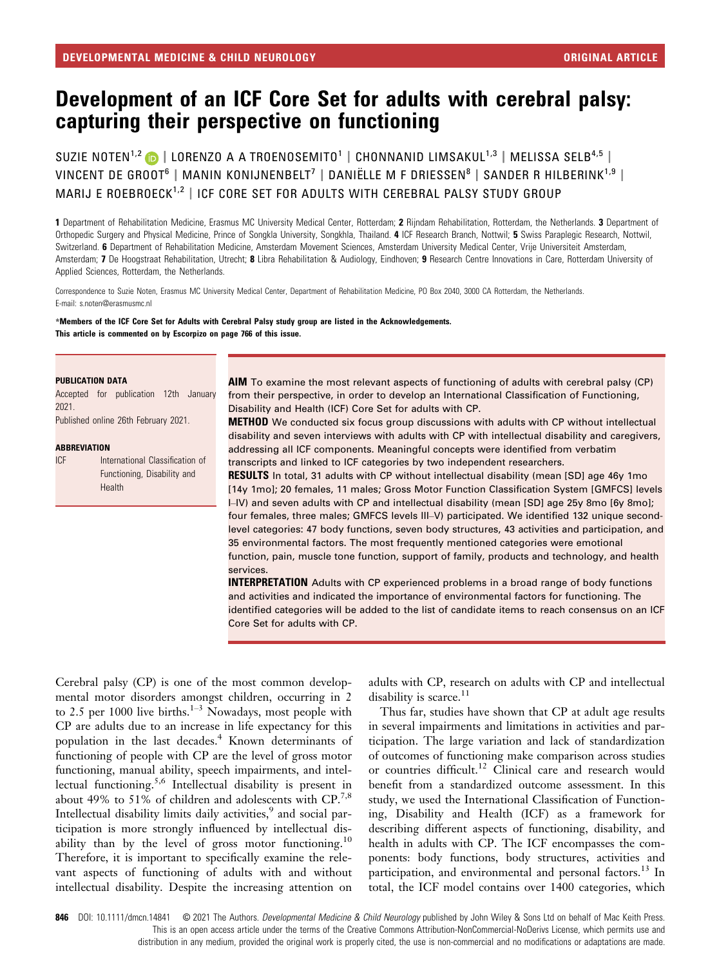# Development of an ICF Core Set for adults with cerebral palsy: capturing their perspective on functioning

SUZIE NOTEN<sup>1,2</sup> D | LORENZO A A TROENOSEMITO<sup>1</sup> | CHONNANID LIMSAKUL<sup>1,3</sup> | MELISSA SELB<sup>4,5</sup> | VINCENT DE GROOT<sup>6</sup> | MANIN KONIJNENBELT<sup>7</sup> | DANIËLLE M F DRIESSEN<sup>8</sup> | SANDER R HILBERINK<sup>1,9</sup> | MARIJ E ROEBROECK<sup>1,2</sup> | ICF CORE SET FOR ADULTS WITH CEREBRAL PALSY STUDY GROUP

1 Department of Rehabilitation Medicine, Erasmus MC University Medical Center, Rotterdam: 2 Riindam Rehabilitation, Rotterdam, the Netherlands, 3 Department of Orthopedic Surgery and Physical Medicine, Prince of Songkla University, Songkhla, Thailand. 4 ICF Research Branch, Nottwil; 5 Swiss Paraplegic Research, Nottwil, Switzerland. 6 Department of Rehabilitation Medicine, Amsterdam Movement Sciences, Amsterdam University Medical Center, Vrije Universiteit Amsterdam, Amsterdam; 7 De Hoogstraat Rehabilitation, Utrecht; 8 Libra Rehabilitation & Audiology, Eindhoven; 9 Research Centre Innovations in Care, Rotterdam University of Applied Sciences, Rotterdam, the Netherlands.

Correspondence to Suzie Noten, Erasmus MC University Medical Center, Department of Rehabilitation Medicine, PO Box 2040, 3000 CA Rotterdam, the Netherlands. E-mail: [s.noten@erasmusmc.nl](mailto:)

\*Members of the ICF Core Set for Adults with Cerebral Palsy study group are listed in the Acknowledgements. This article is commented on by Escorpizo on page 766 of this issue.

#### PUBLICATION DATA

Accepted for publication 12th January 2021.

Published online 26th February 2021.

#### **ABBREVIATION**

ICF International Classification of Functioning, Disability and Health

AIM To examine the most relevant aspects of functioning of adults with cerebral palsy (CP) from their perspective, in order to develop an International Classification of Functioning, Disability and Health (ICF) Core Set for adults with CP.

**METHOD** We conducted six focus group discussions with adults with CP without intellectual disability and seven interviews with adults with CP with intellectual disability and caregivers, addressing all ICF components. Meaningful concepts were identified from verbatim transcripts and linked to ICF categories by two independent researchers.

RESULTS In total, 31 adults with CP without intellectual disability (mean [SD] age 46y 1mo [14y 1mo]; 20 females, 11 males; Gross Motor Function Classification System [GMFCS] levels I–IV) and seven adults with CP and intellectual disability (mean [SD] age 25y 8mo [6y 8mo]; four females, three males; GMFCS levels III–V) participated. We identified 132 unique secondlevel categories: 47 body functions, seven body structures, 43 activities and participation, and 35 environmental factors. The most frequently mentioned categories were emotional function, pain, muscle tone function, support of family, products and technology, and health services.

**INTERPRETATION** Adults with CP experienced problems in a broad range of body functions and activities and indicated the importance of environmental factors for functioning. The identified categories will be added to the list of candidate items to reach consensus on an ICF Core Set for adults with CP.

Cerebral palsy (CP) is one of the most common developmental motor disorders amongst children, occurring in 2 to 2.5 per 1000 live births.<sup>1-3</sup> Nowadays, most people with CP are adults due to an increase in life expectancy for this population in the last decades.<sup>4</sup> Known determinants of functioning of people with CP are the level of gross motor functioning, manual ability, speech impairments, and intellectual functioning.5,6 Intellectual disability is present in about 49% to 51% of children and adolescents with  $CP.^{7,8}$ Intellectual disability limits daily activities,<sup>9</sup> and social participation is more strongly influenced by intellectual disability than by the level of gross motor functioning.<sup>10</sup> Therefore, it is important to specifically examine the relevant aspects of functioning of adults with and without intellectual disability. Despite the increasing attention on

adults with CP, research on adults with CP and intellectual disability is scarce.<sup>11</sup>

Thus far, studies have shown that CP at adult age results in several impairments and limitations in activities and participation. The large variation and lack of standardization of outcomes of functioning make comparison across studies or countries difficult.<sup>12</sup> Clinical care and research would benefit from a standardized outcome assessment. In this study, we used the International Classification of Functioning, Disability and Health (ICF) as a framework for describing different aspects of functioning, disability, and health in adults with CP. The ICF encompasses the components: body functions, body structures, activities and participation, and environmental and personal factors.<sup>13</sup> In total, the ICF model contains over 1400 categories, which

846 DOI: 10.1111/dmcn.14841 © 2021 The Authors. Developmental Medicine & Child Neurology published by John Wiley & Sons Ltd on behalf of Mac Keith Press. This is an open access article under the terms of the [Creative Commons Attribution-NonCommercial-NoDerivs](http://creativecommons.org/licenses/by-nc-nd/4.0/) License, which permits use and distribution in any medium, provided the original work is properly cited, the use is non-commercial and no modifications or adaptations are made.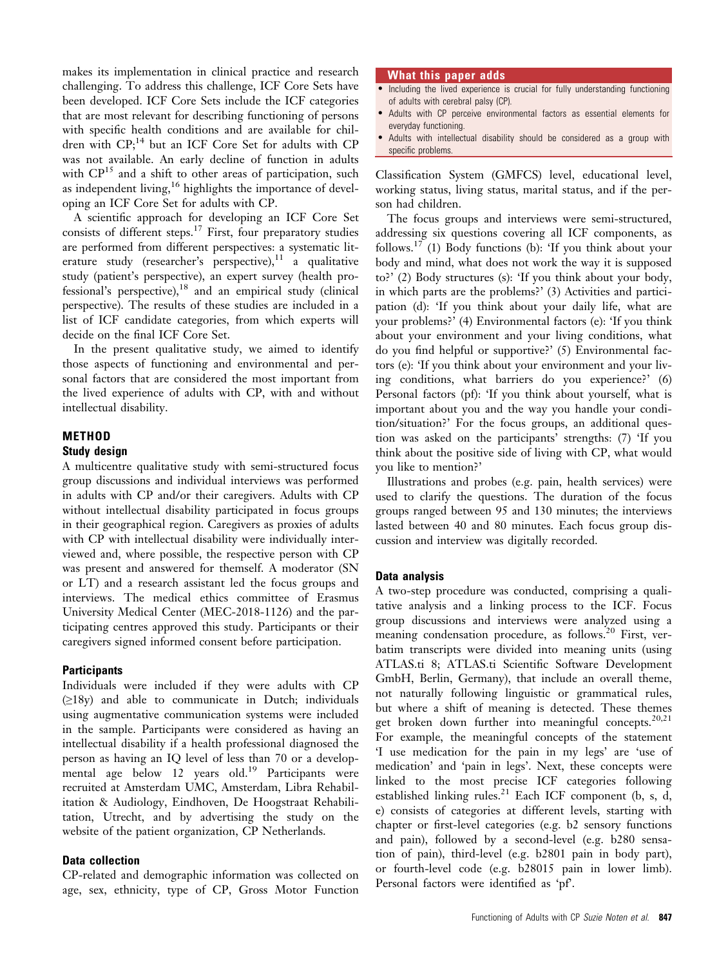makes its implementation in clinical practice and research challenging. To address this challenge, ICF Core Sets have been developed. ICF Core Sets include the ICF categories that are most relevant for describing functioning of persons with specific health conditions and are available for children with  $CP$ ;<sup>14</sup> but an ICF Core Set for adults with CP was not available. An early decline of function in adults with CP<sup>15</sup> and a shift to other areas of participation, such as independent living, $16$  highlights the importance of developing an ICF Core Set for adults with CP.

A scientific approach for developing an ICF Core Set consists of different steps.<sup>17</sup> First, four preparatory studies are performed from different perspectives: a systematic literature study (researcher's perspective), $11$  a qualitative study (patient's perspective), an expert survey (health pro $fessian$ <sup>2</sup> serspective),<sup>18</sup> and an empirical study (clinical perspective). The results of these studies are included in a list of ICF candidate categories, from which experts will decide on the final ICF Core Set.

In the present qualitative study, we aimed to identify those aspects of functioning and environmental and personal factors that are considered the most important from the lived experience of adults with CP, with and without intellectual disability.

# METHOD Study design

A multicentre qualitative study with semi-structured focus group discussions and individual interviews was performed in adults with CP and/or their caregivers. Adults with CP without intellectual disability participated in focus groups in their geographical region. Caregivers as proxies of adults with CP with intellectual disability were individually interviewed and, where possible, the respective person with CP was present and answered for themself. A moderator (SN or LT) and a research assistant led the focus groups and interviews. The medical ethics committee of Erasmus University Medical Center (MEC-2018-1126) and the participating centres approved this study. Participants or their caregivers signed informed consent before participation.

# **Participants**

Individuals were included if they were adults with CP (≥18y) and able to communicate in Dutch; individuals using augmentative communication systems were included in the sample. Participants were considered as having an intellectual disability if a health professional diagnosed the person as having an IQ level of less than 70 or a developmental age below 12 years old.<sup>19</sup> Participants were recruited at Amsterdam UMC, Amsterdam, Libra Rehabilitation & Audiology, Eindhoven, De Hoogstraat Rehabilitation, Utrecht, and by advertising the study on the website of the patient organization, CP Netherlands.

# Data collection

CP-related and demographic information was collected on age, sex, ethnicity, type of CP, Gross Motor Function

# What this paper adds

- Including the lived experience is crucial for fully understanding functioning of adults with cerebral palsy (CP).
- Adults with CP perceive environmental factors as essential elements for everyday functioning.
- Adults with intellectual disability should be considered as a group with specific problems.

Classification System (GMFCS) level, educational level, working status, living status, marital status, and if the person had children.

The focus groups and interviews were semi-structured, addressing six questions covering all ICF components, as follows.<sup>17</sup> (1) Body functions (b): 'If you think about your body and mind, what does not work the way it is supposed to?' (2) Body structures (s): 'If you think about your body, in which parts are the problems?' (3) Activities and participation (d): 'If you think about your daily life, what are your problems?' (4) Environmental factors (e): 'If you think about your environment and your living conditions, what do you find helpful or supportive?' (5) Environmental factors (e): 'If you think about your environment and your living conditions, what barriers do you experience?' (6) Personal factors (pf): 'If you think about yourself, what is important about you and the way you handle your condition/situation?' For the focus groups, an additional question was asked on the participants' strengths: (7) 'If you think about the positive side of living with CP, what would you like to mention?'

Illustrations and probes (e.g. pain, health services) were used to clarify the questions. The duration of the focus groups ranged between 95 and 130 minutes; the interviews lasted between 40 and 80 minutes. Each focus group discussion and interview was digitally recorded.

# Data analysis

A two-step procedure was conducted, comprising a qualitative analysis and a linking process to the ICF. Focus group discussions and interviews were analyzed using a meaning condensation procedure, as follows.<sup>20</sup> First, verbatim transcripts were divided into meaning units (using ATLAS.ti 8; ATLAS.ti Scientific Software Development GmbH, Berlin, Germany), that include an overall theme, not naturally following linguistic or grammatical rules, but where a shift of meaning is detected. These themes get broken down further into meaningful concepts. $20,21$ For example, the meaningful concepts of the statement 'I use medication for the pain in my legs' are 'use of medication' and 'pain in legs'. Next, these concepts were linked to the most precise ICF categories following established linking rules.<sup>21</sup> Each ICF component (b, s, d, e) consists of categories at different levels, starting with chapter or first-level categories (e.g. b2 sensory functions and pain), followed by a second-level (e.g. b280 sensation of pain), third-level (e.g. b2801 pain in body part), or fourth-level code (e.g. b28015 pain in lower limb). Personal factors were identified as 'pf'.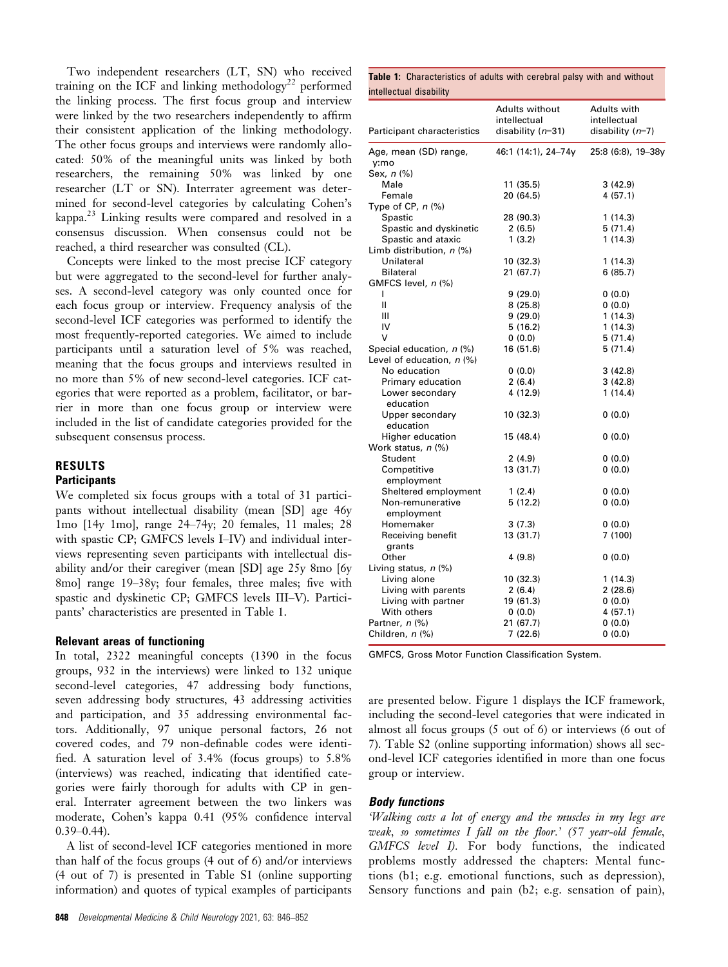Two independent researchers (LT, SN) who received training on the ICF and linking methodology<sup>22</sup> performed the linking process. The first focus group and interview were linked by the two researchers independently to affirm their consistent application of the linking methodology. The other focus groups and interviews were randomly allocated: 50% of the meaningful units was linked by both researchers, the remaining 50% was linked by one researcher (LT or SN). Interrater agreement was determined for second-level categories by calculating Cohen's kappa.<sup>23</sup> Linking results were compared and resolved in a consensus discussion. When consensus could not be reached, a third researcher was consulted (CL).

Concepts were linked to the most precise ICF category but were aggregated to the second-level for further analyses. A second-level category was only counted once for each focus group or interview. Frequency analysis of the second-level ICF categories was performed to identify the most frequently-reported categories. We aimed to include participants until a saturation level of 5% was reached, meaning that the focus groups and interviews resulted in no more than 5% of new second-level categories. ICF categories that were reported as a problem, facilitator, or barrier in more than one focus group or interview were included in the list of candidate categories provided for the subsequent consensus process.

# RESULTS

# **Participants**

We completed six focus groups with a total of 31 participants without intellectual disability (mean [SD] age 46y 1mo [14y 1mo], range 24–74y; 20 females, 11 males; 28 with spastic CP; GMFCS levels I–IV) and individual interviews representing seven participants with intellectual disability and/or their caregiver (mean [SD] age 25y 8mo [6y 8mo] range 19–38y; four females, three males; five with spastic and dyskinetic CP; GMFCS levels III–V). Participants' characteristics are presented in Table 1.

#### Relevant areas of functioning

In total, 2322 meaningful concepts (1390 in the focus groups, 932 in the interviews) were linked to 132 unique second-level categories, 47 addressing body functions, seven addressing body structures, 43 addressing activities and participation, and 35 addressing environmental factors. Additionally, 97 unique personal factors, 26 not covered codes, and 79 non-definable codes were identified. A saturation level of 3.4% (focus groups) to 5.8% (interviews) was reached, indicating that identified categories were fairly thorough for adults with CP in general. Interrater agreement between the two linkers was moderate, Cohen's kappa 0.41 (95% confidence interval  $0.39 - 0.44$ ).

A list of second-level ICF categories mentioned in more than half of the focus groups (4 out of 6) and/or interviews (4 out of 7) is presented in Table S1 (online supporting information) and quotes of typical examples of participants

| <b>Table 1:</b> Characteristics of adults with cerebral palsy with and without |  |  |  |  |
|--------------------------------------------------------------------------------|--|--|--|--|
| intellectual disability                                                        |  |  |  |  |

| Participant characteristics                | <b>Adults without</b><br>intellectual<br>disability $(n=31)$ | <b>Adults with</b><br>intellectual<br>disability $(n=7)$ |
|--------------------------------------------|--------------------------------------------------------------|----------------------------------------------------------|
| Age, mean (SD) range,                      | 46:1 (14:1), 24-74y                                          | 25:8 (6:8), 19-38y                                       |
| y:mo                                       |                                                              |                                                          |
| Sex, n (%)                                 |                                                              |                                                          |
| Male                                       | 11 (35.5)                                                    | 3(42.9)                                                  |
| Female                                     | 20 (64.5)                                                    | 4 (57.1)                                                 |
| Type of CP, $n$ $\left(\% \right)$         |                                                              |                                                          |
| Spastic                                    | 28 (90.3)                                                    | 1(14.3)                                                  |
| Spastic and dyskinetic                     | 2(6.5)                                                       | 5(71.4)                                                  |
| Spastic and ataxic                         | 1(3.2)                                                       | 1(14.3)                                                  |
| Limb distribution, n (%)                   |                                                              |                                                          |
| Unilateral                                 | 10(32.3)                                                     | 1(14.3)                                                  |
| <b>Bilateral</b>                           | 21 (67.7)                                                    | 6(85.7)                                                  |
| GMFCS level, n (%)                         |                                                              |                                                          |
| I                                          | 9(29.0)                                                      | 0(0.0)                                                   |
| Ш                                          | 8(25.8)                                                      | 0(0.0)                                                   |
| Ш                                          | 9(29.0)                                                      | 1(14.3)                                                  |
| IV                                         | 5(16.2)                                                      | 1(14.3)                                                  |
| V                                          | 0(0.0)                                                       | 5(71.4)                                                  |
| Special education, n (%)                   | 16 (51.6)                                                    | 5(71.4)                                                  |
| Level of education, n (%)                  |                                                              |                                                          |
| No education                               | 0(0.0)                                                       | 3(42.8)                                                  |
| Primary education                          | 2(6.4)                                                       | 3(42.8)                                                  |
| Lower secondary                            | 4 (12.9)                                                     | 1(14.4)                                                  |
| education                                  |                                                              |                                                          |
| Upper secondary                            | 10(32.3)                                                     | 0(0.0)                                                   |
| education                                  |                                                              |                                                          |
| Higher education                           | 15 (48.4)                                                    | 0(0.0)                                                   |
| Work status, n (%)                         |                                                              |                                                          |
| Student                                    | 2(4.9)                                                       | 0(0.0)                                                   |
| Competitive                                | 13(31.7)                                                     | 0(0.0)                                                   |
| employment                                 |                                                              |                                                          |
| Sheltered employment                       | 1(2.4)                                                       | 0(0.0)                                                   |
| Non-remunerative                           | 5 (12.2)                                                     | 0(0.0)                                                   |
| employment                                 |                                                              |                                                          |
| Homemaker                                  | 3(7.3)                                                       | 0(0.0)                                                   |
| Receiving benefit                          | 13(31.7)                                                     | 7(100)                                                   |
| grants                                     |                                                              |                                                          |
| Other                                      | 4 (9.8)                                                      | 0(0.0)                                                   |
| Living status, n (%)                       |                                                              |                                                          |
| Living alone                               | 10(32.3)                                                     | 1(14.3)                                                  |
| Living with parents<br>Living with partner | 2(6.4)<br>19 (61.3)                                          | 2(28.6)                                                  |
| With others                                | 0(0.0)                                                       | 0(0.0)<br>4(57.1)                                        |
|                                            |                                                              |                                                          |
| Partner, n (%)<br>Children, n (%)          | 21 (67.7)                                                    | 0(0.0)                                                   |
|                                            | 7 (22.6)                                                     | 0(0.0)                                                   |

GMFCS, Gross Motor Function Classification System.

are presented below. Figure 1 displays the ICF framework, including the second-level categories that were indicated in almost all focus groups (5 out of 6) or interviews (6 out of 7). Table S2 (online supporting information) shows all second-level ICF categories identified in more than one focus group or interview.

#### Body functions

'Walking costs a lot of energy and the muscles in my legs are weak, so sometimes I fall on the floor.' (57 year-old female, GMFCS level I). For body functions, the indicated problems mostly addressed the chapters: Mental functions (b1; e.g. emotional functions, such as depression), Sensory functions and pain (b2; e.g. sensation of pain),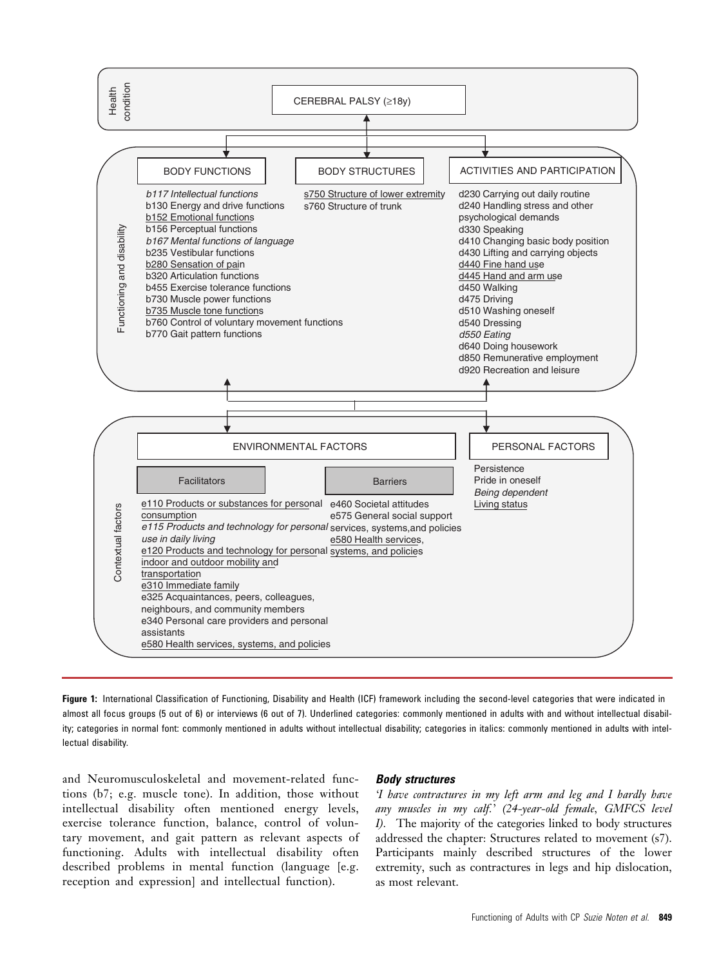

Figure 1: International Classification of Functioning, Disability and Health (ICF) framework including the second-level categories that were indicated in almost all focus groups (5 out of 6) or interviews (6 out of 7). Underlined categories: commonly mentioned in adults with and without intellectual disability; categories in normal font: commonly mentioned in adults without intellectual disability; categories in italics: commonly mentioned in adults with intellectual disability.

and Neuromusculoskeletal and movement-related functions (b7; e.g. muscle tone). In addition, those without intellectual disability often mentioned energy levels, exercise tolerance function, balance, control of voluntary movement, and gait pattern as relevant aspects of functioning. Adults with intellectual disability often described problems in mental function (language [e.g. reception and expression] and intellectual function).

## Body structures

'I have contractures in my left arm and leg and I hardly have any muscles in my calf.' (24-year-old female, GMFCS level I). The majority of the categories linked to body structures addressed the chapter: Structures related to movement (s7). Participants mainly described structures of the lower extremity, such as contractures in legs and hip dislocation, as most relevant.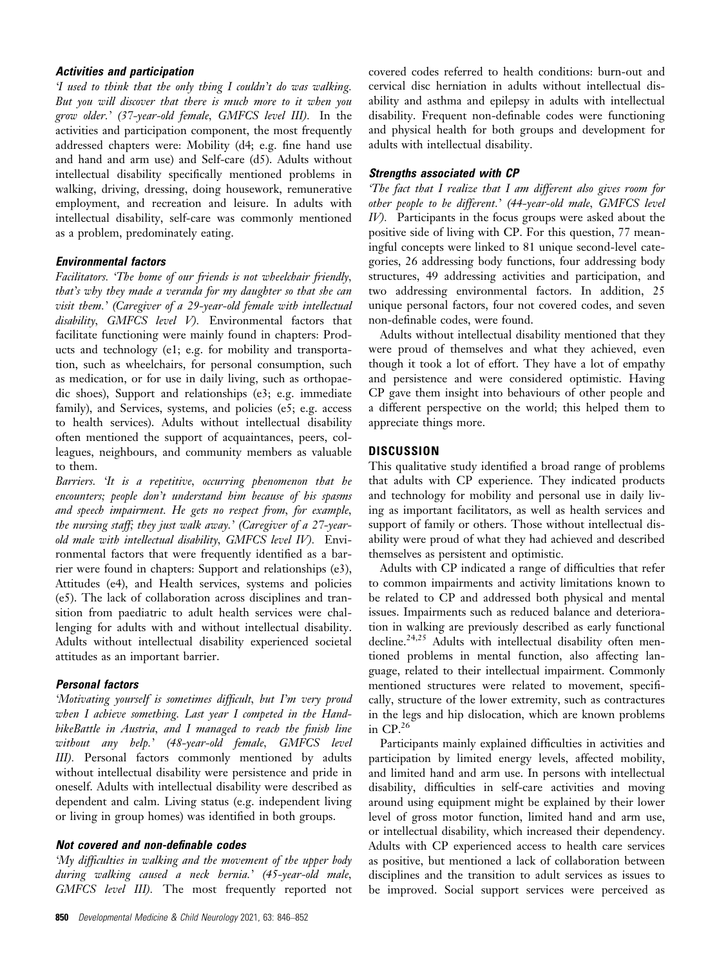# Activities and participation

'I used to think that the only thing I couldn't do was walking. But you will discover that there is much more to it when you grow older.' (37-year-old female, GMFCS level III). In the activities and participation component, the most frequently addressed chapters were: Mobility (d4; e.g. fine hand use and hand and arm use) and Self-care (d5). Adults without intellectual disability specifically mentioned problems in walking, driving, dressing, doing housework, remunerative employment, and recreation and leisure. In adults with intellectual disability, self-care was commonly mentioned as a problem, predominately eating.

# Environmental factors

Facilitators. 'The home of our friends is not wheelchair friendly, that's why they made a veranda for my daughter so that she can visit them.' (Caregiver of a 29-year-old female with intellectual disability, GMFCS level V). Environmental factors that facilitate functioning were mainly found in chapters: Products and technology (e1; e.g. for mobility and transportation, such as wheelchairs, for personal consumption, such as medication, or for use in daily living, such as orthopaedic shoes), Support and relationships (e3; e.g. immediate family), and Services, systems, and policies (e5; e.g. access to health services). Adults without intellectual disability often mentioned the support of acquaintances, peers, colleagues, neighbours, and community members as valuable to them.

Barriers. 'It is a repetitive, occurring phenomenon that he encounters; people don't understand him because of his spasms and speech impairment. He gets no respect from, for example, the nursing staff; they just walk away.' (Caregiver of a 27-yearold male with intellectual disability, GMFCS level IV). Environmental factors that were frequently identified as a barrier were found in chapters: Support and relationships (e3), Attitudes (e4), and Health services, systems and policies (e5). The lack of collaboration across disciplines and transition from paediatric to adult health services were challenging for adults with and without intellectual disability. Adults without intellectual disability experienced societal attitudes as an important barrier.

## Personal factors

'Motivating yourself is sometimes difficult, but I'm very proud when I achieve something. Last year I competed in the HandbikeBattle in Austria, and I managed to reach the finish line without any help.' (48-year-old female, GMFCS level III). Personal factors commonly mentioned by adults without intellectual disability were persistence and pride in oneself. Adults with intellectual disability were described as dependent and calm. Living status (e.g. independent living or living in group homes) was identified in both groups.

# Not covered and non-definable codes

'My difficulties in walking and the movement of the upper body during walking caused a neck hernia.' (45-year-old male, GMFCS level III). The most frequently reported not covered codes referred to health conditions: burn-out and cervical disc herniation in adults without intellectual disability and asthma and epilepsy in adults with intellectual disability. Frequent non-definable codes were functioning and physical health for both groups and development for adults with intellectual disability.

# Strengths associated with CP

'The fact that I realize that I am different also gives room for other people to be different.' (44-year-old male, GMFCS level IV). Participants in the focus groups were asked about the positive side of living with CP. For this question, 77 meaningful concepts were linked to 81 unique second-level categories, 26 addressing body functions, four addressing body structures, 49 addressing activities and participation, and two addressing environmental factors. In addition, 25 unique personal factors, four not covered codes, and seven non-definable codes, were found.

Adults without intellectual disability mentioned that they were proud of themselves and what they achieved, even though it took a lot of effort. They have a lot of empathy and persistence and were considered optimistic. Having CP gave them insight into behaviours of other people and a different perspective on the world; this helped them to appreciate things more.

# **DISCUSSION**

This qualitative study identified a broad range of problems that adults with CP experience. They indicated products and technology for mobility and personal use in daily living as important facilitators, as well as health services and support of family or others. Those without intellectual disability were proud of what they had achieved and described themselves as persistent and optimistic.

Adults with CP indicated a range of difficulties that refer to common impairments and activity limitations known to be related to CP and addressed both physical and mental issues. Impairments such as reduced balance and deterioration in walking are previously described as early functional decline.<sup>24,25</sup> Adults with intellectual disability often mentioned problems in mental function, also affecting language, related to their intellectual impairment. Commonly mentioned structures were related to movement, specifically, structure of the lower extremity, such as contractures in the legs and hip dislocation, which are known problems in  $CP.^{26}$ 

Participants mainly explained difficulties in activities and participation by limited energy levels, affected mobility, and limited hand and arm use. In persons with intellectual disability, difficulties in self-care activities and moving around using equipment might be explained by their lower level of gross motor function, limited hand and arm use, or intellectual disability, which increased their dependency. Adults with CP experienced access to health care services as positive, but mentioned a lack of collaboration between disciplines and the transition to adult services as issues to be improved. Social support services were perceived as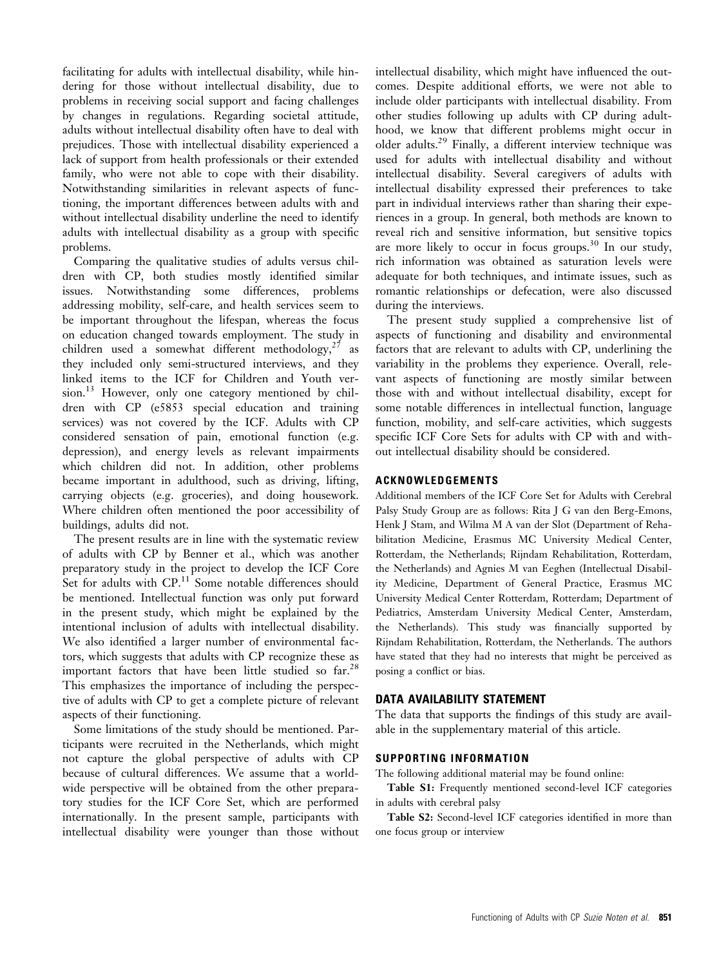facilitating for adults with intellectual disability, while hindering for those without intellectual disability, due to problems in receiving social support and facing challenges by changes in regulations. Regarding societal attitude, adults without intellectual disability often have to deal with prejudices. Those with intellectual disability experienced a lack of support from health professionals or their extended family, who were not able to cope with their disability. Notwithstanding similarities in relevant aspects of functioning, the important differences between adults with and without intellectual disability underline the need to identify adults with intellectual disability as a group with specific problems.

Comparing the qualitative studies of adults versus children with CP, both studies mostly identified similar issues. Notwithstanding some differences, problems addressing mobility, self-care, and health services seem to be important throughout the lifespan, whereas the focus on education changed towards employment. The study in children used a somewhat different methodology,  $27$  as they included only semi-structured interviews, and they linked items to the ICF for Children and Youth version.<sup>13</sup> However, only one category mentioned by children with CP (e5853 special education and training services) was not covered by the ICF. Adults with CP considered sensation of pain, emotional function (e.g. depression), and energy levels as relevant impairments which children did not. In addition, other problems became important in adulthood, such as driving, lifting, carrying objects (e.g. groceries), and doing housework. Where children often mentioned the poor accessibility of buildings, adults did not.

The present results are in line with the systematic review of adults with CP by Benner et al., which was another preparatory study in the project to develop the ICF Core Set for adults with  $\text{CP}^{11}$  Some notable differences should be mentioned. Intellectual function was only put forward in the present study, which might be explained by the intentional inclusion of adults with intellectual disability. We also identified a larger number of environmental factors, which suggests that adults with CP recognize these as important factors that have been little studied so far.<sup>28</sup> This emphasizes the importance of including the perspective of adults with CP to get a complete picture of relevant aspects of their functioning.

Some limitations of the study should be mentioned. Participants were recruited in the Netherlands, which might not capture the global perspective of adults with CP because of cultural differences. We assume that a worldwide perspective will be obtained from the other preparatory studies for the ICF Core Set, which are performed internationally. In the present sample, participants with intellectual disability were younger than those without

intellectual disability, which might have influenced the outcomes. Despite additional efforts, we were not able to include older participants with intellectual disability. From other studies following up adults with CP during adulthood, we know that different problems might occur in older adults.<sup>29</sup> Finally, a different interview technique was used for adults with intellectual disability and without intellectual disability. Several caregivers of adults with intellectual disability expressed their preferences to take part in individual interviews rather than sharing their experiences in a group. In general, both methods are known to reveal rich and sensitive information, but sensitive topics are more likely to occur in focus groups.<sup>30</sup> In our study, rich information was obtained as saturation levels were adequate for both techniques, and intimate issues, such as romantic relationships or defecation, were also discussed during the interviews.

The present study supplied a comprehensive list of aspects of functioning and disability and environmental factors that are relevant to adults with CP, underlining the variability in the problems they experience. Overall, relevant aspects of functioning are mostly similar between those with and without intellectual disability, except for some notable differences in intellectual function, language function, mobility, and self-care activities, which suggests specific ICF Core Sets for adults with CP with and without intellectual disability should be considered.

## ACKNOWLEDGEMENTS

Additional members of the ICF Core Set for Adults with Cerebral Palsy Study Group are as follows: Rita J G van den Berg-Emons, Henk J Stam, and Wilma M A van der Slot (Department of Rehabilitation Medicine, Erasmus MC University Medical Center, Rotterdam, the Netherlands; Rijndam Rehabilitation, Rotterdam, the Netherlands) and Agnies M van Eeghen (Intellectual Disability Medicine, Department of General Practice, Erasmus MC University Medical Center Rotterdam, Rotterdam; Department of Pediatrics, Amsterdam University Medical Center, Amsterdam, the Netherlands). This study was financially supported by Rijndam Rehabilitation, Rotterdam, the Netherlands. The authors have stated that they had no interests that might be perceived as posing a conflict or bias.

## DATA AVAILABILITY STATEMENT

The data that supports the findings of this study are available in the supplementary material of this article.

#### SUPPORTING INFORMATION

The following additional material may be found online:

Table S1: Frequently mentioned second-level ICF categories in adults with cerebral palsy

Table S2: Second-level ICF categories identified in more than one focus group or interview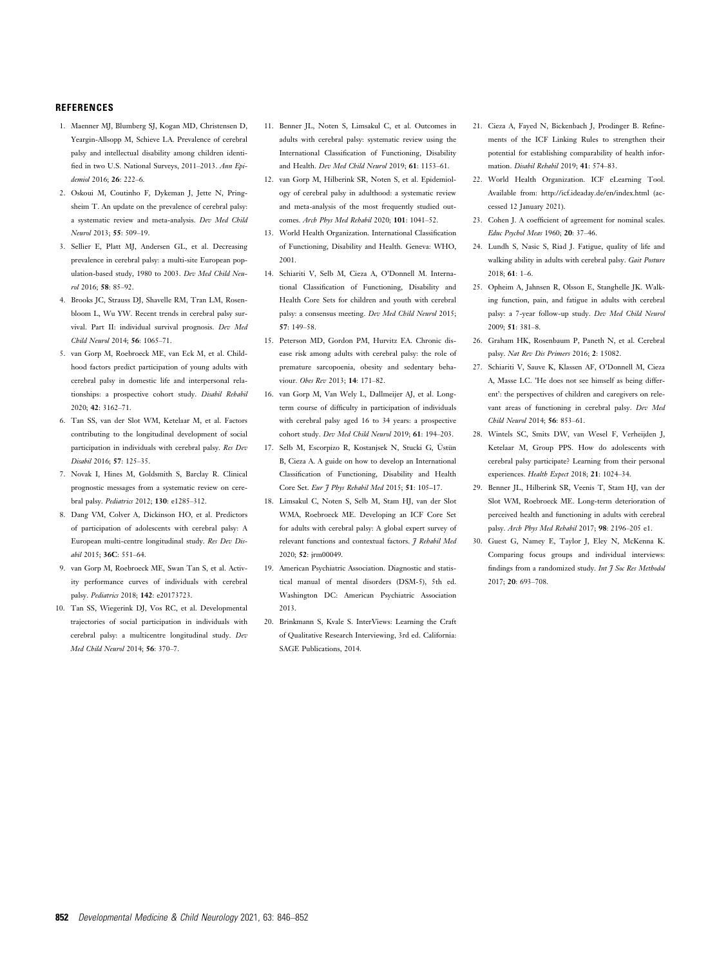#### **REFERENCES**

- 1. Maenner MJ, Blumberg SJ, Kogan MD, Christensen D, Yeargin-Allsopp M, Schieve LA. Prevalence of cerebral palsy and intellectual disability among children identified in two U.S. National Surveys, 2011–2013. Ann Epidemiol 2016; 26: 222–6.
- 2. Oskoui M, Coutinho F, Dykeman J, Jette N, Pringsheim T. An update on the prevalence of cerebral palsy: a systematic review and meta-analysis. Dev Med Child Neurol 2013; 55: 509–19.
- 3. Sellier E, Platt MJ, Andersen GL, et al. Decreasing prevalence in cerebral palsy: a multi-site European population-based study, 1980 to 2003. Dev Med Child Neurol 2016; 58: 85–92.
- 4. Brooks JC, Strauss DJ, Shavelle RM, Tran LM, Rosenbloom L, Wu YW. Recent trends in cerebral palsy survival. Part II: individual survival prognosis. Dev Med Child Neurol 2014; 56: 1065–71.
- 5. van Gorp M, Roebroeck ME, van Eck M, et al. Childhood factors predict participation of young adults with cerebral palsy in domestic life and interpersonal relationships: a prospective cohort study. Disabil Rehabil 2020; 42: 3162–71.
- 6. Tan SS, van der Slot WM, Ketelaar M, et al. Factors contributing to the longitudinal development of social participation in individuals with cerebral palsy. Res Dev Disabil 2016; 57: 125–35.
- 7. Novak I, Hines M, Goldsmith S, Barclay R. Clinical prognostic messages from a systematic review on cerebral palsy. Pediatrics 2012; 130: e1285–312.
- 8. Dang VM, Colver A, Dickinson HO, et al. Predictors of participation of adolescents with cerebral palsy: A European multi-centre longitudinal study. Res Dev Disabil 2015; 36C: 551–64.
- 9. van Gorp M, Roebroeck ME, Swan Tan S, et al. Activity performance curves of individuals with cerebral palsy. Pediatrics 2018; 142: e20173723.
- 10. Tan SS, Wiegerink DJ, Vos RC, et al. Developmental trajectories of social participation in individuals with cerebral palsy: a multicentre longitudinal study. Dev Med Child Neurol 2014; 56: 370–7.
- 11. Benner JL, Noten S, Limsakul C, et al. Outcomes in adults with cerebral palsy: systematic review using the International Classification of Functioning, Disability and Health. Dev Med Child Neurol 2019; 61: 1153–61.
- 12. van Gorp M, Hilberink SR, Noten S, et al. Epidemiology of cerebral palsy in adulthood: a systematic review and meta-analysis of the most frequently studied outcomes. Arch Phys Med Rehabil 2020; 101: 1041–52.
- 13. World Health Organization. International Classification of Functioning, Disability and Health. Geneva: WHO, 2001.
- 14. Schiariti V, Selb M, Cieza A, O'Donnell M. International Classification of Functioning, Disability and Health Core Sets for children and youth with cerebral palsy: a consensus meeting. Dev Med Child Neurol 2015; 57: 149–58.
- 15. Peterson MD, Gordon PM, Hurvitz EA. Chronic disease risk among adults with cerebral palsy: the role of premature sarcopoenia, obesity and sedentary behaviour. Obes Rev 2013; 14: 171–82.
- 16. van Gorp M, Van Wely L, Dallmeijer AJ, et al. Longterm course of difficulty in participation of individuals with cerebral palsy aged 16 to 34 years: a prospective cohort study. Dev Med Child Neurol 2019; 61: 194–203.
- 17. Selb M, Escorpizo R, Kostanjsek N, Stucki G, Üstür B, Cieza A. A guide on how to develop an International Classification of Functioning, Disability and Health Core Set. Eur 7 Phys Rehabil Med 2015: **51**: 105-17.
- 18. Limsakul C, Noten S, Selb M, Stam HJ, van der Slot WMA, Roebroeck ME. Developing an ICF Core Set for adults with cerebral palsy: A global expert survey of relevant functions and contextual factors. J Rehabil Med 2020; 52: jrm00049.
- 19. American Psychiatric Association. Diagnostic and statistical manual of mental disorders (DSM-5), 5th ed. Washington DC: American Psychiatric Association 2013.
- 20. Brinkmann S, Kvale S. InterViews: Learning the Craft of Qualitative Research Interviewing, 3rd ed. California: SAGE Publications, 2014.
- 21. Cieza A, Fayed N, Bickenbach J, Prodinger B. Refinements of the ICF Linking Rules to strengthen their potential for establishing comparability of health information. Disabil Rehabil 2019; 41: 574–83.
- 22. World Health Organization. ICF eLearning Tool. Available from:<http://icf.ideaday.de/en/index.html> (accessed 12 January 2021).
- 23. Cohen J. A coefficient of agreement for nominal scales. Educ Psychol Meas 1960; 20: 37–46.
- 24. Lundh S, Nasic S, Riad J. Fatigue, quality of life and walking ability in adults with cerebral palsy. Gait Posture 2018; 61: 1–6.
- 25. Opheim A, Jahnsen R, Olsson E, Stanghelle JK. Walking function, pain, and fatigue in adults with cerebral palsy: a 7-year follow-up study. Dev Med Child Neurol 2009; 51: 381–8.
- 26. Graham HK, Rosenbaum P, Paneth N, et al. Cerebral palsy. Nat Rev Dis Primers 2016; 2: 15082.
- 27. Schiariti V, Sauve K, Klassen AF, O'Donnell M, Cieza A, Masse LC. 'He does not see himself as being different': the perspectives of children and caregivers on relevant areas of functioning in cerebral palsy. Dev Med Child Neurol 2014; 56: 853–61.
- 28. Wintels SC, Smits DW, van Wesel F, Verheijden J, Ketelaar M, Group PPS. How do adolescents with cerebral palsy participate? Learning from their personal experiences. Health Expect 2018; 21: 1024–34.
- 29. Benner JL, Hilberink SR, Veenis T, Stam HJ, van der Slot WM, Roebroeck ME. Long-term deterioration of perceived health and functioning in adults with cerebral palsy. Arch Phys Med Rehabil 2017; 98: 2196–205 e1.
- 30. Guest G, Namey E, Taylor J, Eley N, McKenna K. Comparing focus groups and individual interviews: findings from a randomized study. Int  $f$  Soc Res Methodol 2017; 20: 693–708.